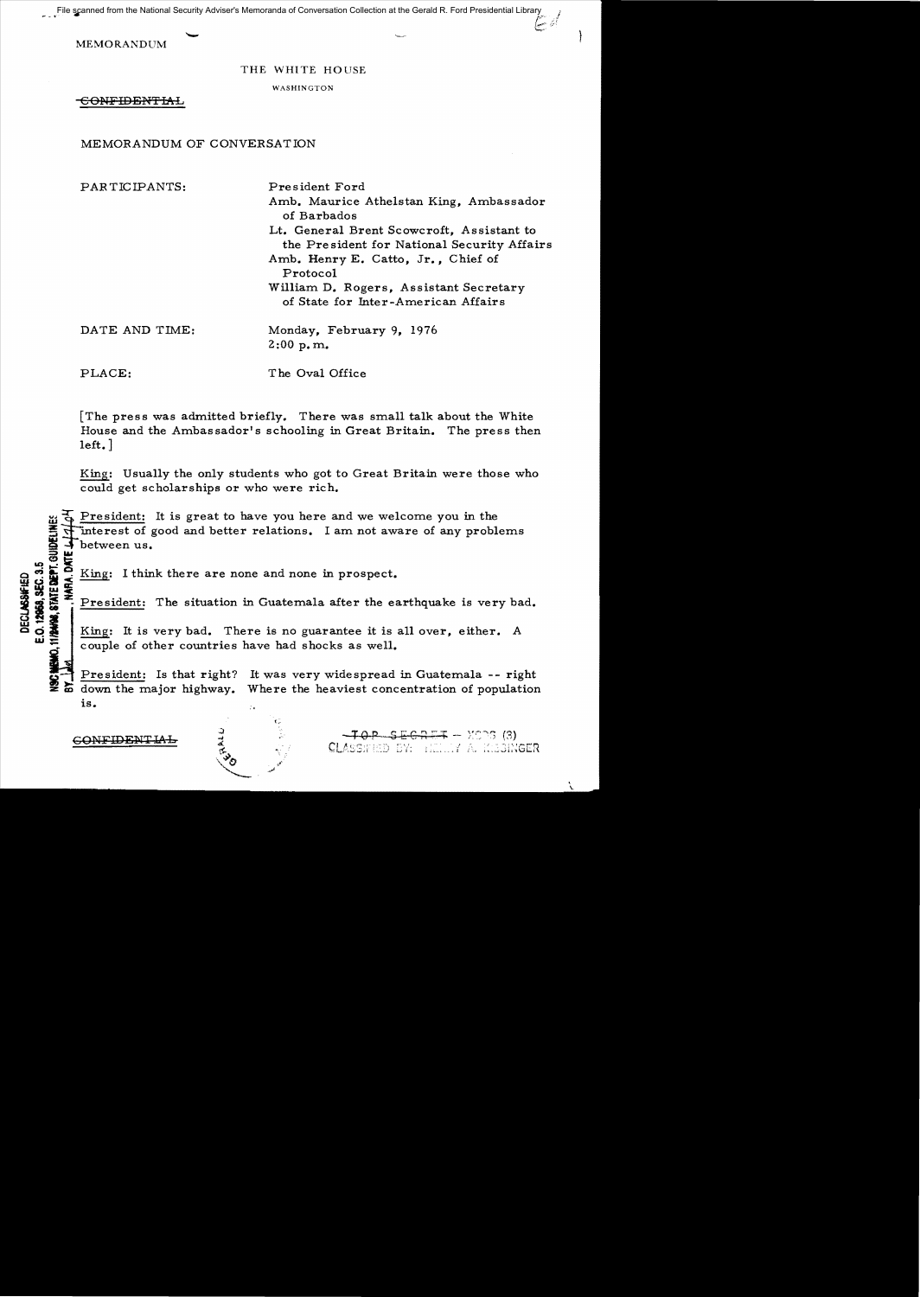File scanned from the National Security Adviser's Memoranda of Conversation Collection at the Gerald R. Ford Presidential Library (1999)

MEMORANDUM

## THE WHITE HOUSE

WASHINGTON

-€ONFIDE:NTIAL

## MEMORANDUM OF CONVERSATION

PARTICIPANTS: DATE AND TIME: PLACE: President Ford Amb. Maurice Athelstan King, Ambassador of Barbados Lt. General Brent Scowcroft, Assistant to the Pre sident for National Security Affairs Amb. Henry E. Catto, Jr., Chief of Protocol William D. Rogers, Assistant Secretary of State for Inter-American Affairs Monday, February 9, 1976 2:00 p. m. T he Oval Office

[The press was admitted briefly. There was small talk about the White House and the Ambassador's schooling in Great Britain. The press then left. ]

King: Usually the only students who got to Great Britain were those who could get scholarships or who were rich.

President: It is great to have you here and we welcome you in the The interest of good and better relations. I am not aware of any problems<br>between us.<br> **Example 1**<br> **Example:** I think there are none and none in prospect.<br> **Example:** The situation in Guatemala after the earthquake is ver between us. **FIA.DATE** 

**Example 12**<br> **Example 1**<br> **Example 1**<br> **Example 1**<br> **Example 1**<br> **Example 1**<br> **Example 1**<br> **Example 1**<br> **Example 1**<br> **Example 1**<br> **Example 1**<br> **Example 1**<br> **Example 1**<br> **Example 1**<br> **Example 1**<br> **Example 1**<br> **Example 1**<br>  $\frac{1}{2}$  President: The situation in Guatemala after the earthquake is very bad.<br> **King:** It is very bad. There is no guarantee it is all over, either. A **00** King: It is very bad. There is no guarantee it is all over, either. A couple of other countries have had shocks as well.

> President: Is that right? It was very widespread in Guatemala -- right down the major highway. Where the heaviest concentration of population  $is.$

> > I.,

 $\begin{array}{cccccccccccccc} \textbf{COMFIDENTLAL} & & \frac{3}{4} & & \frac{3}{4} & & & -\textbf{TOP} & \textbf{SEERET} & - & \textbf{XOS} & (3) \ \textbf{C} & & & & & & \textbf{CLASSHEID EN:} & & \textbf{LILI} & \textbf{A} & \textbf{R} & \textbf{S} \textbf{S} & \textbf{R} & \textbf{S} & \textbf{S} & \textbf{S} & \textbf{S} & \textbf{S} & \textbf{S} & \textbf{S} & \textbf{S} & \textbf{S} & \textbf{S} & \textbf{S} & \$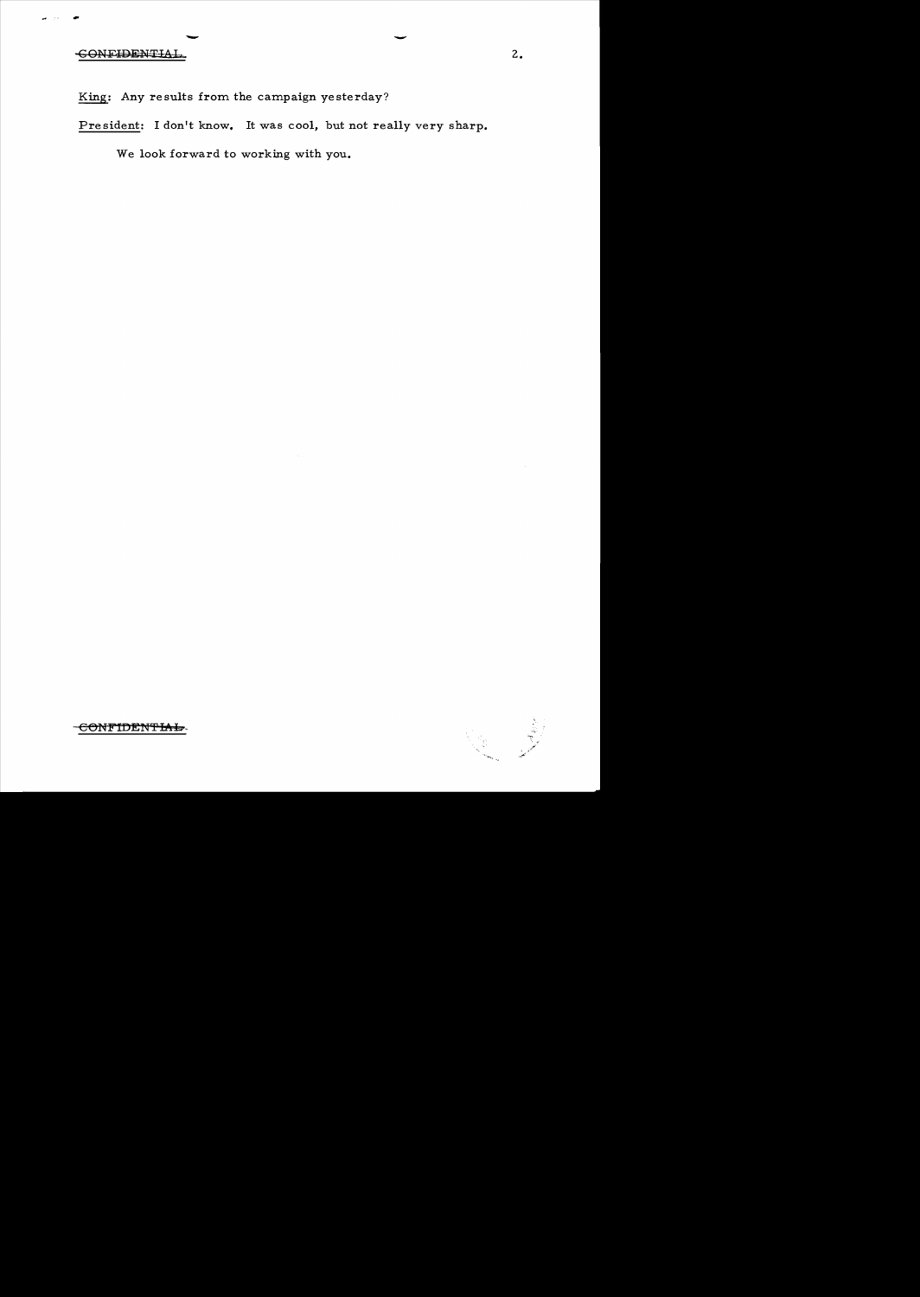## - - -CONF~TfA-k. 2.

King: Any results from the campaign yesterday?

President: I don't know. It was cool, but not really very sharp.

We look forward to working with you.

CONFIDENTIAL